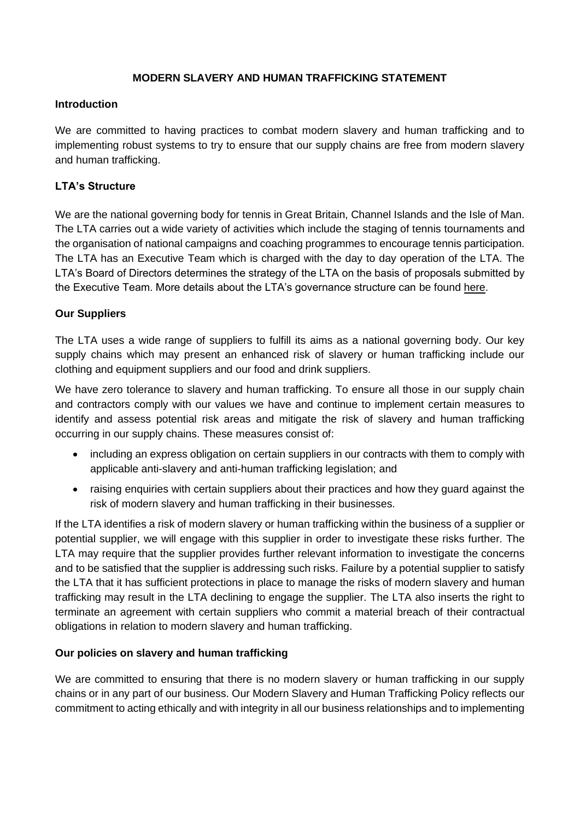### **MODERN SLAVERY AND HUMAN TRAFFICKING STATEMENT**

#### **Introduction**

We are committed to having practices to combat modern slavery and human trafficking and to implementing robust systems to try to ensure that our supply chains are free from modern slavery and human trafficking.

# **LTA's Structure**

We are the national governing body for tennis in Great Britain, Channel Islands and the Isle of Man. The LTA carries out a wide variety of activities which include the staging of tennis tournaments and the organisation of national campaigns and coaching programmes to encourage tennis participation. The LTA has an Executive Team which is charged with the day to day operation of the LTA. The LTA's Board of Directors determines the strategy of the LTA on the basis of proposals submitted by the Executive Team. More details about the LTA's governance structure can be found [here.](https://www.lta.org.uk/about-the-lta/structure-vision/#?open=Corporate Governance)

# **Our Suppliers**

The LTA uses a wide range of suppliers to fulfill its aims as a national governing body. Our key supply chains which may present an enhanced risk of slavery or human trafficking include our clothing and equipment suppliers and our food and drink suppliers.

We have zero tolerance to slavery and human trafficking. To ensure all those in our supply chain and contractors comply with our values we have and continue to implement certain measures to identify and assess potential risk areas and mitigate the risk of slavery and human trafficking occurring in our supply chains. These measures consist of:

- including an express obligation on certain suppliers in our contracts with them to comply with applicable anti-slavery and anti-human trafficking legislation; and
- raising enquiries with certain suppliers about their practices and how they guard against the risk of modern slavery and human trafficking in their businesses.

If the LTA identifies a risk of modern slavery or human trafficking within the business of a supplier or potential supplier, we will engage with this supplier in order to investigate these risks further. The LTA may require that the supplier provides further relevant information to investigate the concerns and to be satisfied that the supplier is addressing such risks. Failure by a potential supplier to satisfy the LTA that it has sufficient protections in place to manage the risks of modern slavery and human trafficking may result in the LTA declining to engage the supplier. The LTA also inserts the right to terminate an agreement with certain suppliers who commit a material breach of their contractual obligations in relation to modern slavery and human trafficking.

### **Our policies on slavery and human trafficking**

We are committed to ensuring that there is no modern slavery or human trafficking in our supply chains or in any part of our business. Our Modern Slavery and Human Trafficking Policy reflects our commitment to acting ethically and with integrity in all our business relationships and to implementing